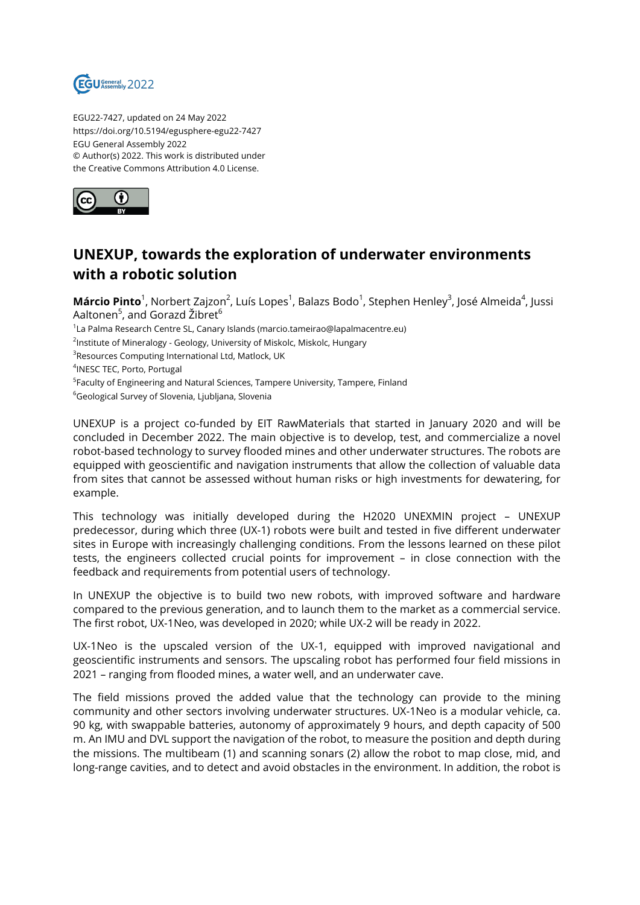

EGU22-7427, updated on 24 May 2022 https://doi.org/10.5194/egusphere-egu22-7427 EGU General Assembly 2022 © Author(s) 2022. This work is distributed under the Creative Commons Attribution 4.0 License.



## **UNEXUP, towards the exploration of underwater environments with a robotic solution**

**Márcio Pinto**<sup>1</sup>, Norbert Zajzon<sup>2</sup>, Luís Lopes<sup>1</sup>, Balazs Bodo<sup>1</sup>, Stephen Henley<sup>3</sup>, José Almeida<sup>4</sup>, Jussi Aaltonen<sup>5</sup>, and Gorazd Žibret<sup>6</sup> 1 La Palma Research Centre SL, Canary Islands (marcio.tameirao@lapalmacentre.eu)

<sup>2</sup>Institute of Mineralogy - Geology, University of Miskolc, Miskolc, Hungary

 $^3$ Resources Computing International Ltd, Matlock, UK

4 INESC TEC, Porto, Portugal

<sup>5</sup>Faculty of Engineering and Natural Sciences, Tampere University, Tampere, Finland

<sup>6</sup>Geological Survey of Slovenia, Ljubljana, Slovenia

UNEXUP is a project co-funded by EIT RawMaterials that started in January 2020 and will be concluded in December 2022. The main objective is to develop, test, and commercialize a novel robot-based technology to survey flooded mines and other underwater structures. The robots are equipped with geoscientific and navigation instruments that allow the collection of valuable data from sites that cannot be assessed without human risks or high investments for dewatering, for example.

This technology was initially developed during the H2020 UNEXMIN project – UNEXUP predecessor, during which three (UX-1) robots were built and tested in five different underwater sites in Europe with increasingly challenging conditions. From the lessons learned on these pilot tests, the engineers collected crucial points for improvement – in close connection with the feedback and requirements from potential users of technology.

In UNEXUP the objective is to build two new robots, with improved software and hardware compared to the previous generation, and to launch them to the market as a commercial service. The first robot, UX-1Neo, was developed in 2020; while UX-2 will be ready in 2022.

UX-1Neo is the upscaled version of the UX-1, equipped with improved navigational and geoscientific instruments and sensors. The upscaling robot has performed four field missions in 2021 – ranging from flooded mines, a water well, and an underwater cave.

The field missions proved the added value that the technology can provide to the mining community and other sectors involving underwater structures. UX-1Neo is a modular vehicle, ca. 90 kg, with swappable batteries, autonomy of approximately 9 hours, and depth capacity of 500 m. An IMU and DVL support the navigation of the robot, to measure the position and depth during the missions. The multibeam (1) and scanning sonars (2) allow the robot to map close, mid, and long-range cavities, and to detect and avoid obstacles in the environment. In addition, the robot is